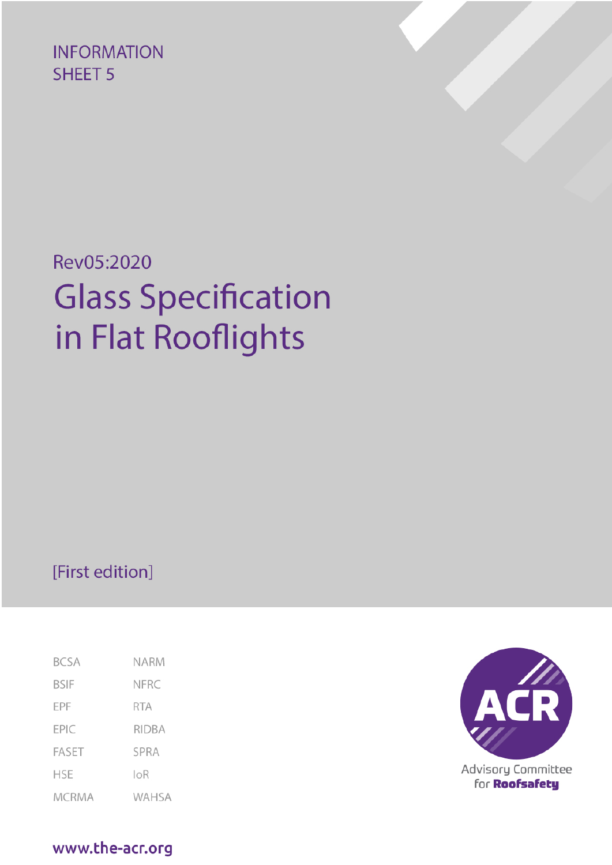**INFORMATION SHEET 5** 

# Rev05:2020 **Glass Specification** in Flat Rooflights

# [First edition]

| <b>BCSA</b>  | NARM  |
|--------------|-------|
| BSIF         | NFRC  |
| EPF          | RTA   |
| EPIC         | RIDBA |
| FASET        | SPRA  |
| HSE          | IoR   |
| <b>MCRMA</b> | WAHSA |



for **Roofsafety** 

www.the-acr.org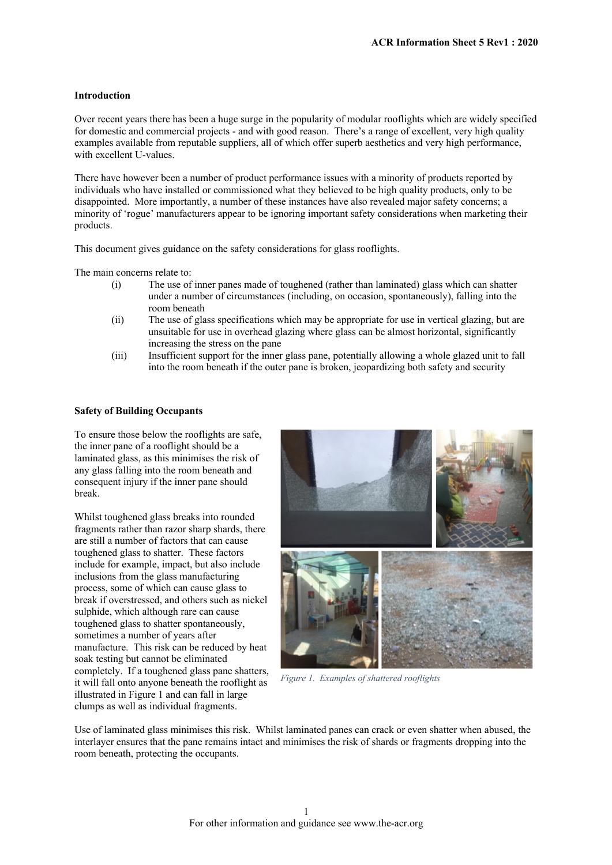### **Introduction**

Over recent years there has been a huge surge in the popularity of modular rooflights which are widely specified for domestic and commercial projects - and with good reason. There's a range of excellent, very high quality examples available from reputable suppliers, all of which offer superb aesthetics and very high performance, with excellent U-values.

There have however been a number of product performance issues with a minority of products reported by individuals who have installed or commissioned what they believed to be high quality products, only to be disappointed. More importantly, a number of these instances have also revealed major safety concerns; a minority of 'rogue' manufacturers appear to be ignoring important safety considerations when marketing their products.

This document gives guidance on the safety considerations for glass rooflights.

The main concerns relate to:

- (i) The use of inner panes made of toughened (rather than laminated) glass which can shatter under a number of circumstances (including, on occasion, spontaneously), falling into the room beneath
- (ii) The use of glass specifications which may be appropriate for use in vertical glazing, but are unsuitable for use in overhead glazing where glass can be almost horizontal, significantly increasing the stress on the pane
- (iii) Insufficient support for the inner glass pane, potentially allowing a whole glazed unit to fall into the room beneath if the outer pane is broken, jeopardizing both safety and security

## **Safety of Building Occupants**

To ensure those below the rooflights are safe, the inner pane of a rooflight should be a laminated glass, as this minimises the risk of any glass falling into the room beneath and consequent injury if the inner pane should break.

Whilst toughened glass breaks into rounded fragments rather than razor sharp shards, there are still a number of factors that can cause toughened glass to shatter. These factors include for example, impact, but also include inclusions from the glass manufacturing process, some of which can cause glass to break if overstressed, and others such as nickel sulphide, which although rare can cause toughened glass to shatter spontaneously, sometimes a number of years after manufacture. This risk can be reduced by heat soak testing but cannot be eliminated completely. If a toughened glass pane shatters, it will fall onto anyone beneath the rooflight as illustrated in Figure 1 and can fall in large clumps as well as individual fragments.



*Figure 1. Examples of shattered rooflights*

Use of laminated glass minimises this risk. Whilst laminated panes can crack or even shatter when abused, the interlayer ensures that the pane remains intact and minimises the risk of shards or fragments dropping into the room beneath, protecting the occupants.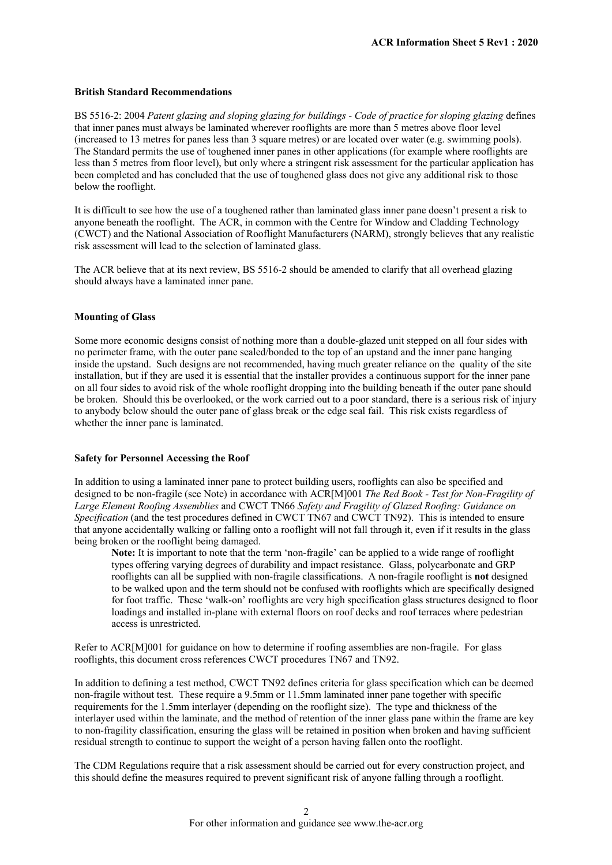#### **British Standard Recommendations**

BS 5516-2: 2004 *Patent glazing and sloping glazing for buildings - Code of practice for sloping glazing* defines that inner panes must always be laminated wherever rooflights are more than 5 metres above floor level (increased to 13 metres for panes less than 3 square metres) or are located over water (e.g. swimming pools). The Standard permits the use of toughened inner panes in other applications (for example where rooflights are less than 5 metres from floor level), but only where a stringent risk assessment for the particular application has been completed and has concluded that the use of toughened glass does not give any additional risk to those below the rooflight.

It is difficult to see how the use of a toughened rather than laminated glass inner pane doesn't present a risk to anyone beneath the rooflight. The ACR, in common with the Centre for Window and Cladding Technology (CWCT) and the National Association of Rooflight Manufacturers (NARM), strongly believes that any realistic risk assessment will lead to the selection of laminated glass.

The ACR believe that at its next review, BS 5516-2 should be amended to clarify that all overhead glazing should always have a laminated inner pane.

#### **Mounting of Glass**

Some more economic designs consist of nothing more than a double-glazed unit stepped on all four sides with no perimeter frame, with the outer pane sealed/bonded to the top of an upstand and the inner pane hanging inside the upstand. Such designs are not recommended, having much greater reliance on the quality of the site installation, but if they are used it is essential that the installer provides a continuous support for the inner pane on all four sides to avoid risk of the whole rooflight dropping into the building beneath if the outer pane should be broken. Should this be overlooked, or the work carried out to a poor standard, there is a serious risk of injury to anybody below should the outer pane of glass break or the edge seal fail. This risk exists regardless of whether the inner pane is laminated.

#### **Safety for Personnel Accessing the Roof**

In addition to using a laminated inner pane to protect building users, rooflights can also be specified and designed to be non-fragile (see Note) in accordance with ACR[M]001 *The Red Book - Test for Non-Fragility of Large Element Roofing Assemblies* and CWCT TN66 *Safety and Fragility of Glazed Roofing: Guidance on Specification* (and the test procedures defined in CWCT TN67 and CWCT TN92). This is intended to ensure that anyone accidentally walking or falling onto a rooflight will not fall through it, even if it results in the glass being broken or the rooflight being damaged.

**Note:** It is important to note that the term 'non-fragile' can be applied to a wide range of rooflight types offering varying degrees of durability and impact resistance. Glass, polycarbonate and GRP rooflights can all be supplied with non-fragile classifications. A non-fragile rooflight is **not** designed to be walked upon and the term should not be confused with rooflights which are specifically designed for foot traffic. These 'walk-on' rooflights are very high specification glass structures designed to floor loadings and installed in-plane with external floors on roof decks and roof terraces where pedestrian access is unrestricted.

Refer to ACR[M]001 for guidance on how to determine if roofing assemblies are non-fragile. For glass rooflights, this document cross references CWCT procedures TN67 and TN92.

In addition to defining a test method, CWCT TN92 defines criteria for glass specification which can be deemed non-fragile without test. These require a 9.5mm or 11.5mm laminated inner pane together with specific requirements for the 1.5mm interlayer (depending on the rooflight size). The type and thickness of the interlayer used within the laminate, and the method of retention of the inner glass pane within the frame are key to non-fragility classification, ensuring the glass will be retained in position when broken and having sufficient residual strength to continue to support the weight of a person having fallen onto the rooflight.

The CDM Regulations require that a risk assessment should be carried out for every construction project, and this should define the measures required to prevent significant risk of anyone falling through a rooflight.